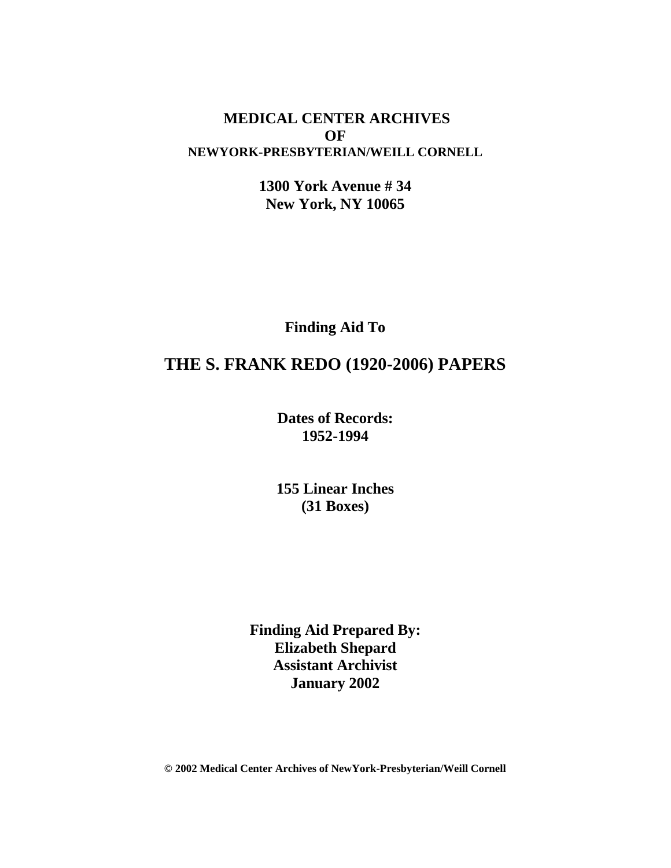#### **MEDICAL CENTER ARCHIVES OF NEWYORK-PRESBYTERIAN/WEILL CORNELL**

**1300 York Avenue # 34 New York, NY 10065**

**Finding Aid To**

## **THE S. FRANK REDO (1920-2006) PAPERS**

**Dates of Records: 1952-1994**

**155 Linear Inches (31 Boxes)**

**Finding Aid Prepared By: Elizabeth Shepard Assistant Archivist January 2002**

**© 2002 Medical Center Archives of NewYork-Presbyterian/Weill Cornell**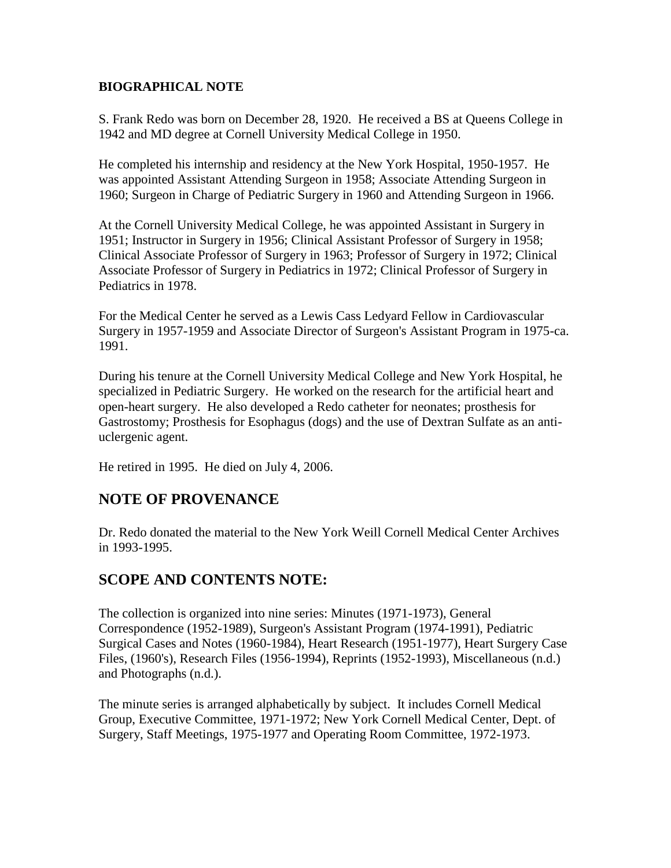#### **BIOGRAPHICAL NOTE**

S. Frank Redo was born on December 28, 1920. He received a BS at Queens College in 1942 and MD degree at Cornell University Medical College in 1950.

He completed his internship and residency at the New York Hospital, 1950-1957. He was appointed Assistant Attending Surgeon in 1958; Associate Attending Surgeon in 1960; Surgeon in Charge of Pediatric Surgery in 1960 and Attending Surgeon in 1966.

At the Cornell University Medical College, he was appointed Assistant in Surgery in 1951; Instructor in Surgery in 1956; Clinical Assistant Professor of Surgery in 1958; Clinical Associate Professor of Surgery in 1963; Professor of Surgery in 1972; Clinical Associate Professor of Surgery in Pediatrics in 1972; Clinical Professor of Surgery in Pediatrics in 1978.

For the Medical Center he served as a Lewis Cass Ledyard Fellow in Cardiovascular Surgery in 1957-1959 and Associate Director of Surgeon's Assistant Program in 1975-ca. 1991.

During his tenure at the Cornell University Medical College and New York Hospital, he specialized in Pediatric Surgery. He worked on the research for the artificial heart and open-heart surgery. He also developed a Redo catheter for neonates; prosthesis for Gastrostomy; Prosthesis for Esophagus (dogs) and the use of Dextran Sulfate as an antiuclergenic agent.

He retired in 1995. He died on July 4, 2006.

### **NOTE OF PROVENANCE**

Dr. Redo donated the material to the New York Weill Cornell Medical Center Archives in 1993-1995.

### **SCOPE AND CONTENTS NOTE:**

The collection is organized into nine series: Minutes (1971-1973), General Correspondence (1952-1989), Surgeon's Assistant Program (1974-1991), Pediatric Surgical Cases and Notes (1960-1984), Heart Research (1951-1977), Heart Surgery Case Files, (1960's), Research Files (1956-1994), Reprints (1952-1993), Miscellaneous (n.d.) and Photographs (n.d.).

The minute series is arranged alphabetically by subject. It includes Cornell Medical Group, Executive Committee, 1971-1972; New York Cornell Medical Center, Dept. of Surgery, Staff Meetings, 1975-1977 and Operating Room Committee, 1972-1973.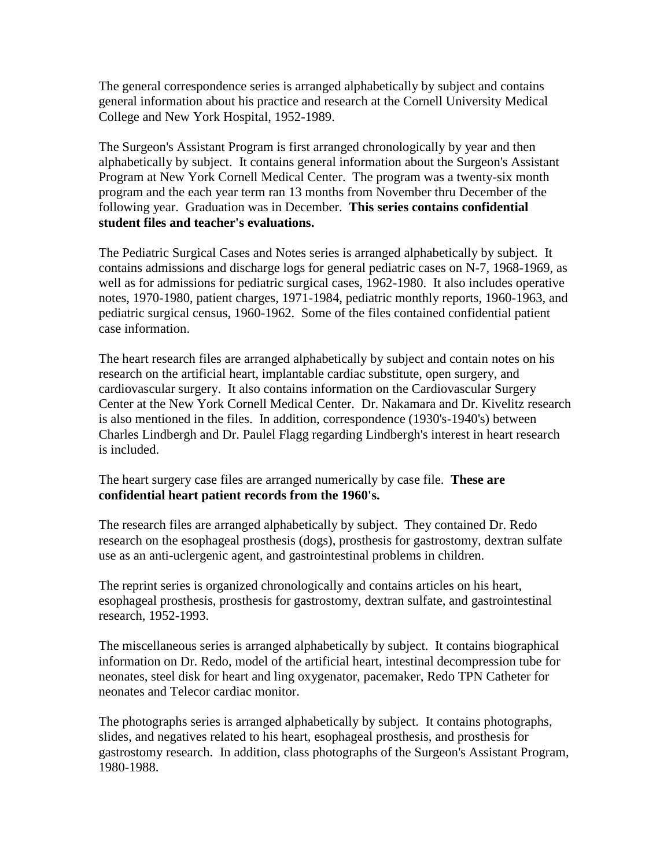The general correspondence series is arranged alphabetically by subject and contains general information about his practice and research at the Cornell University Medical College and New York Hospital, 1952-1989.

The Surgeon's Assistant Program is first arranged chronologically by year and then alphabetically by subject. It contains general information about the Surgeon's Assistant Program at New York Cornell Medical Center. The program was a twenty-six month program and the each year term ran 13 months from November thru December of the following year. Graduation was in December. **This series contains confidential student files and teacher's evaluations.**

The Pediatric Surgical Cases and Notes series is arranged alphabetically by subject. It contains admissions and discharge logs for general pediatric cases on N-7, 1968-1969, as well as for admissions for pediatric surgical cases, 1962-1980. It also includes operative notes, 1970-1980, patient charges, 1971-1984, pediatric monthly reports, 1960-1963, and pediatric surgical census, 1960-1962. Some of the files contained confidential patient case information.

The heart research files are arranged alphabetically by subject and contain notes on his research on the artificial heart, implantable cardiac substitute, open surgery, and cardiovascular surgery. It also contains information on the Cardiovascular Surgery Center at the New York Cornell Medical Center. Dr. Nakamara and Dr. Kivelitz research is also mentioned in the files. In addition, correspondence (1930's-1940's) between Charles Lindbergh and Dr. Paulel Flagg regarding Lindbergh's interest in heart research is included.

The heart surgery case files are arranged numerically by case file. **These are confidential heart patient records from the 1960's.**

The research files are arranged alphabetically by subject. They contained Dr. Redo research on the esophageal prosthesis (dogs), prosthesis for gastrostomy, dextran sulfate use as an anti-uclergenic agent, and gastrointestinal problems in children.

The reprint series is organized chronologically and contains articles on his heart, esophageal prosthesis, prosthesis for gastrostomy, dextran sulfate, and gastrointestinal research, 1952-1993.

The miscellaneous series is arranged alphabetically by subject. It contains biographical information on Dr. Redo, model of the artificial heart, intestinal decompression tube for neonates, steel disk for heart and ling oxygenator, pacemaker, Redo TPN Catheter for neonates and Telecor cardiac monitor.

The photographs series is arranged alphabetically by subject. It contains photographs, slides, and negatives related to his heart, esophageal prosthesis, and prosthesis for gastrostomy research. In addition, class photographs of the Surgeon's Assistant Program, 1980-1988.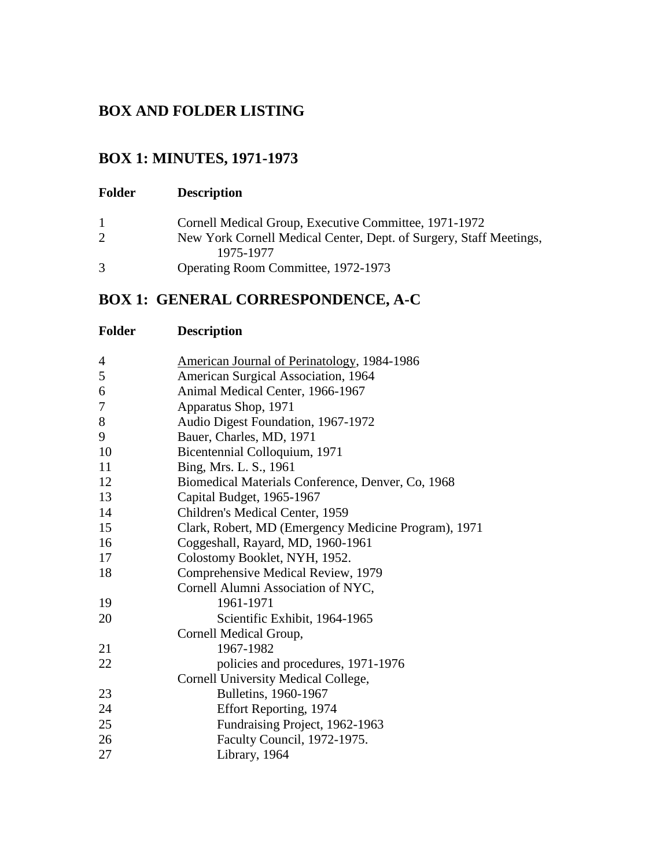## **BOX AND FOLDER LISTING**

## **BOX 1: MINUTES, 1971-1973**

| <b>Folder</b> | <b>Description</b>                                                              |
|---------------|---------------------------------------------------------------------------------|
|               | Cornell Medical Group, Executive Committee, 1971-1972                           |
|               | New York Cornell Medical Center, Dept. of Surgery, Staff Meetings,<br>1975-1977 |
| 3             | Operating Room Committee, 1972-1973                                             |

# **BOX 1: GENERAL CORRESPONDENCE, A-C**

| <b>Folder</b> | <b>Description</b>                                   |
|---------------|------------------------------------------------------|
| 4             | <b>American Journal of Perinatology, 1984-1986</b>   |
| 5             | American Surgical Association, 1964                  |
| 6             | Animal Medical Center, 1966-1967                     |
| 7             | Apparatus Shop, 1971                                 |
| 8             | Audio Digest Foundation, 1967-1972                   |
| 9             | Bauer, Charles, MD, 1971                             |
| 10            | Bicentennial Colloquium, 1971                        |
| 11            | Bing, Mrs. L. S., 1961                               |
| 12            | Biomedical Materials Conference, Denver, Co, 1968    |
| 13            | Capital Budget, 1965-1967                            |
| 14            | Children's Medical Center, 1959                      |
| 15            | Clark, Robert, MD (Emergency Medicine Program), 1971 |
| 16            | Coggeshall, Rayard, MD, 1960-1961                    |
| 17            | Colostomy Booklet, NYH, 1952.                        |
| 18            | Comprehensive Medical Review, 1979                   |
|               | Cornell Alumni Association of NYC,                   |
| 19            | 1961-1971                                            |
| 20            | Scientific Exhibit, 1964-1965                        |
|               | Cornell Medical Group,                               |
| 21            | 1967-1982                                            |
| 22            | policies and procedures, 1971-1976                   |
|               | Cornell University Medical College,                  |
| 23            | Bulletins, 1960-1967                                 |
| 24            | Effort Reporting, 1974                               |
| 25            | Fundraising Project, 1962-1963                       |
| 26            | Faculty Council, 1972-1975.                          |
| 27            | Library, 1964                                        |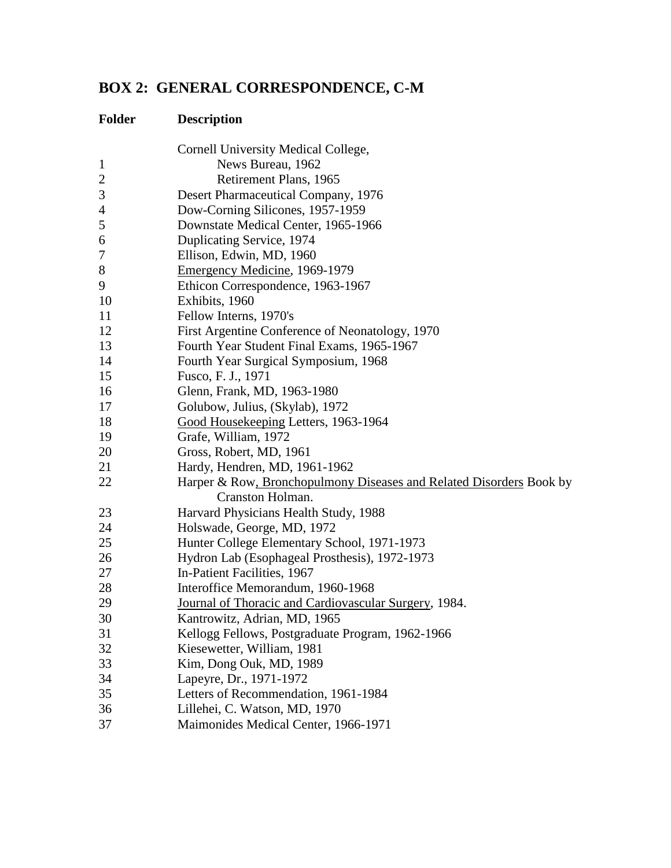# **BOX 2: GENERAL CORRESPONDENCE, C-M**

|                | Cornell University Medical College,                                 |
|----------------|---------------------------------------------------------------------|
| $\mathbf{1}$   | News Bureau, 1962                                                   |
| $\overline{2}$ | Retirement Plans, 1965                                              |
| 3              | Desert Pharmaceutical Company, 1976                                 |
| $\overline{4}$ | Dow-Corning Silicones, 1957-1959                                    |
| 5              | Downstate Medical Center, 1965-1966                                 |
| 6              | Duplicating Service, 1974                                           |
| 7              | Ellison, Edwin, MD, 1960                                            |
| $8\,$          | Emergency Medicine, 1969-1979                                       |
| 9              | Ethicon Correspondence, 1963-1967                                   |
| 10             | Exhibits, 1960                                                      |
| 11             | Fellow Interns, 1970's                                              |
| 12             | First Argentine Conference of Neonatology, 1970                     |
| 13             | Fourth Year Student Final Exams, 1965-1967                          |
| 14             | Fourth Year Surgical Symposium, 1968                                |
| 15             | Fusco, F. J., 1971                                                  |
| 16             | Glenn, Frank, MD, 1963-1980                                         |
| 17             | Golubow, Julius, (Skylab), 1972                                     |
| 18             | Good Housekeeping Letters, 1963-1964                                |
| 19             | Grafe, William, 1972                                                |
| 20             | Gross, Robert, MD, 1961                                             |
| 21             | Hardy, Hendren, MD, 1961-1962                                       |
| 22             | Harper & Row, Bronchopulmony Diseases and Related Disorders Book by |
|                | Cranston Holman.                                                    |
| 23             | Harvard Physicians Health Study, 1988                               |
| 24             | Holswade, George, MD, 1972                                          |
| 25             | Hunter College Elementary School, 1971-1973                         |
| 26             | Hydron Lab (Esophageal Prosthesis), 1972-1973                       |
| 27             | In-Patient Facilities, 1967                                         |
| 28             | Interoffice Memorandum, 1960-1968                                   |
| 29             | Journal of Thoracic and Cardiovascular Surgery, 1984.               |
| 30             | Kantrowitz, Adrian, MD, 1965                                        |
| 31             | Kellogg Fellows, Postgraduate Program, 1962-1966                    |
| 32             | Kiesewetter, William, 1981                                          |
| 33             | Kim, Dong Ouk, MD, 1989                                             |
| 34             | Lapeyre, Dr., 1971-1972                                             |
| 35             | Letters of Recommendation, 1961-1984                                |
| 36             | Lillehei, C. Watson, MD, 1970                                       |
| 37             | Maimonides Medical Center, 1966-1971                                |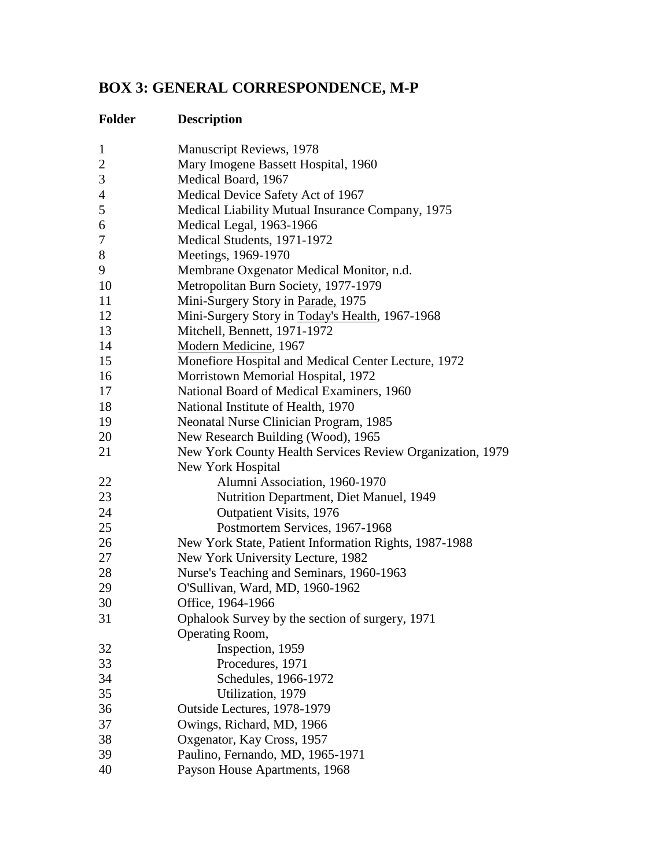# **BOX 3: GENERAL CORRESPONDENCE, M-P**

| $\mathbf{1}$   | Manuscript Reviews, 1978                                  |
|----------------|-----------------------------------------------------------|
| $\overline{c}$ | Mary Imogene Bassett Hospital, 1960                       |
| 3              | Medical Board, 1967                                       |
| 4              | Medical Device Safety Act of 1967                         |
| 5              | Medical Liability Mutual Insurance Company, 1975          |
| 6              | Medical Legal, 1963-1966                                  |
| 7              | Medical Students, 1971-1972                               |
| 8              | Meetings, 1969-1970                                       |
| 9              | Membrane Oxgenator Medical Monitor, n.d.                  |
| 10             | Metropolitan Burn Society, 1977-1979                      |
| 11             | Mini-Surgery Story in Parade, 1975                        |
| 12             | Mini-Surgery Story in Today's Health, 1967-1968           |
| 13             | Mitchell, Bennett, 1971-1972                              |
| 14             | Modern Medicine, 1967                                     |
| 15             | Monefiore Hospital and Medical Center Lecture, 1972       |
| 16             | Morristown Memorial Hospital, 1972                        |
| 17             | National Board of Medical Examiners, 1960                 |
| 18             | National Institute of Health, 1970                        |
| 19             | Neonatal Nurse Clinician Program, 1985                    |
| 20             | New Research Building (Wood), 1965                        |
| 21             | New York County Health Services Review Organization, 1979 |
|                | New York Hospital                                         |
| 22             | Alumni Association, 1960-1970                             |
| 23             | Nutrition Department, Diet Manuel, 1949                   |
| 24             | Outpatient Visits, 1976                                   |
| 25             | Postmortem Services, 1967-1968                            |
| 26             | New York State, Patient Information Rights, 1987-1988     |
| 27             | New York University Lecture, 1982                         |
| 28             | Nurse's Teaching and Seminars, 1960-1963                  |
| 29             | O'Sullivan, Ward, MD, 1960-1962                           |
| 30             | Office, 1964-1966                                         |
| 31             | Ophalook Survey by the section of surgery, 1971           |
|                | Operating Room,                                           |
| 32             | Inspection, 1959                                          |
| 33             | Procedures, 1971                                          |
| 34             | Schedules, 1966-1972                                      |
| 35             | Utilization, 1979                                         |
| 36             | Outside Lectures, 1978-1979                               |
| 37             | Owings, Richard, MD, 1966                                 |
| 38             | Oxgenator, Kay Cross, 1957                                |
| 39             | Paulino, Fernando, MD, 1965-1971                          |
| 40             | Payson House Apartments, 1968                             |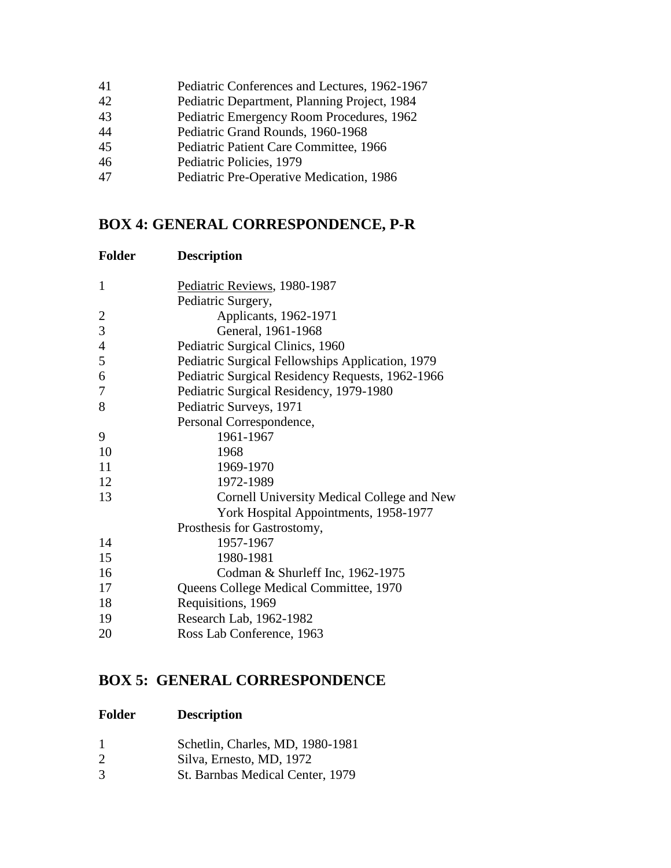| 41 | Pediatric Conferences and Lectures, 1962-1967 |
|----|-----------------------------------------------|
| 42 | Pediatric Department, Planning Project, 1984  |
| 43 | Pediatric Emergency Room Procedures, 1962     |
| 44 | Pediatric Grand Rounds, 1960-1968             |
| 45 | Pediatric Patient Care Committee, 1966        |
| 46 | Pediatric Policies, 1979                      |
| 47 | Pediatric Pre-Operative Medication, 1986      |
|    |                                               |

## **BOX 4: GENERAL CORRESPONDENCE, P-R**

| <b>Folder</b>            | <b>Description</b>                               |
|--------------------------|--------------------------------------------------|
| $\mathbf{1}$             | Pediatric Reviews, 1980-1987                     |
|                          | Pediatric Surgery,                               |
| $\overline{c}$           | Applicants, 1962-1971                            |
| 3                        | General, 1961-1968                               |
| $\overline{\mathcal{L}}$ | Pediatric Surgical Clinics, 1960                 |
| 5                        | Pediatric Surgical Fellowships Application, 1979 |
| 6                        | Pediatric Surgical Residency Requests, 1962-1966 |
| $\overline{7}$           | Pediatric Surgical Residency, 1979-1980          |
| 8                        | Pediatric Surveys, 1971                          |
|                          | Personal Correspondence,                         |
| 9                        | 1961-1967                                        |
| 10                       | 1968                                             |
| 11                       | 1969-1970                                        |
| 12                       | 1972-1989                                        |
| 13                       | Cornell University Medical College and New       |
|                          | York Hospital Appointments, 1958-1977            |
|                          | Prosthesis for Gastrostomy,                      |
| 14                       | 1957-1967                                        |
| 15                       | 1980-1981                                        |
| 16                       | Codman & Shurleff Inc, 1962-1975                 |
| 17                       | Queens College Medical Committee, 1970           |
| 18                       | Requisitions, 1969                               |
| 19                       | Research Lab, 1962-1982                          |
| 20                       | Ross Lab Conference, 1963                        |
|                          |                                                  |

## **BOX 5: GENERAL CORRESPONDENCE**

| Folder | <b>Description</b> |
|--------|--------------------|
|        |                    |

|  | Schetlin, Charles, MD, 1980-1981 |
|--|----------------------------------|
|  |                                  |

- 2 Silva, Ernesto, MD, 1972<br>3 St. Barnbas Medical Cente
- St. Barnbas Medical Center, 1979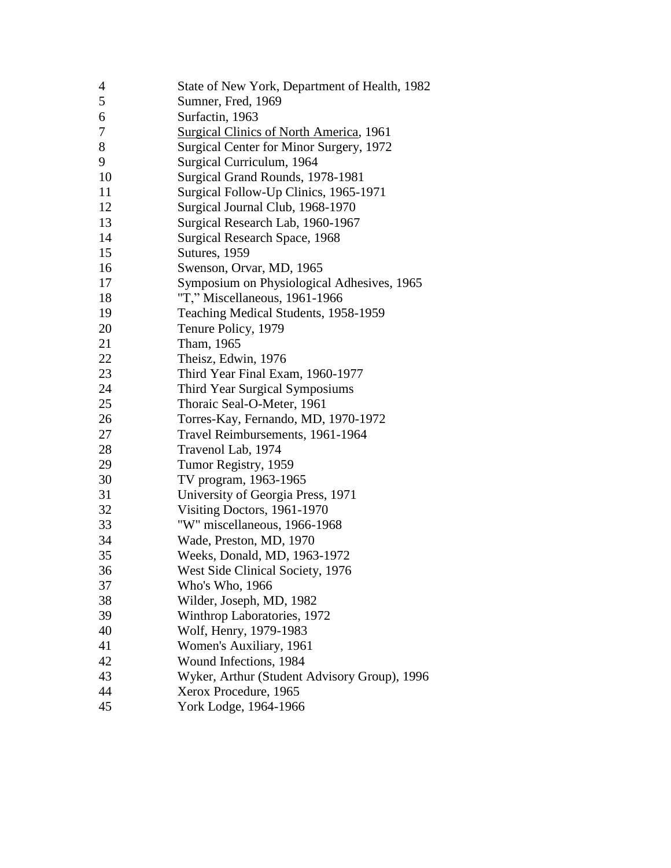| 4  | State of New York, Department of Health, 1982  |
|----|------------------------------------------------|
| 5  | Sumner, Fred, 1969                             |
| 6  | Surfactin, 1963                                |
| 7  | <b>Surgical Clinics of North America, 1961</b> |
| 8  | Surgical Center for Minor Surgery, 1972        |
| 9  | Surgical Curriculum, 1964                      |
| 10 | Surgical Grand Rounds, 1978-1981               |
| 11 | Surgical Follow-Up Clinics, 1965-1971          |
| 12 | Surgical Journal Club, 1968-1970               |
| 13 | Surgical Research Lab, 1960-1967               |
| 14 | Surgical Research Space, 1968                  |
| 15 | Sutures, 1959                                  |
| 16 | Swenson, Orvar, MD, 1965                       |
| 17 | Symposium on Physiological Adhesives, 1965     |
| 18 | "T," Miscellaneous, 1961-1966                  |
| 19 | Teaching Medical Students, 1958-1959           |
| 20 | Tenure Policy, 1979                            |
| 21 | Tham, 1965                                     |
| 22 | Theisz, Edwin, 1976                            |
| 23 | Third Year Final Exam, 1960-1977               |
| 24 | <b>Third Year Surgical Symposiums</b>          |
| 25 | Thoraic Seal-O-Meter, 1961                     |
| 26 | Torres-Kay, Fernando, MD, 1970-1972            |
| 27 | Travel Reimbursements, 1961-1964               |
| 28 | Travenol Lab, 1974                             |
| 29 | Tumor Registry, 1959                           |
| 30 | TV program, 1963-1965                          |
| 31 | University of Georgia Press, 1971              |
| 32 | Visiting Doctors, 1961-1970                    |
| 33 | "W" miscellaneous, 1966-1968                   |
| 34 | Wade, Preston, MD, 1970                        |
| 35 | Weeks, Donald, MD, 1963-1972                   |
| 36 | West Side Clinical Society, 1976               |
| 37 | Who's Who, 1966                                |
| 38 | Wilder, Joseph, MD, 1982                       |
| 39 | Winthrop Laboratories, 1972                    |
| 40 | Wolf, Henry, 1979-1983                         |
| 41 | Women's Auxiliary, 1961                        |
| 42 | Wound Infections, 1984                         |
| 43 | Wyker, Arthur (Student Advisory Group), 1996   |
| 44 | Xerox Procedure, 1965                          |
| 45 | York Lodge, 1964-1966                          |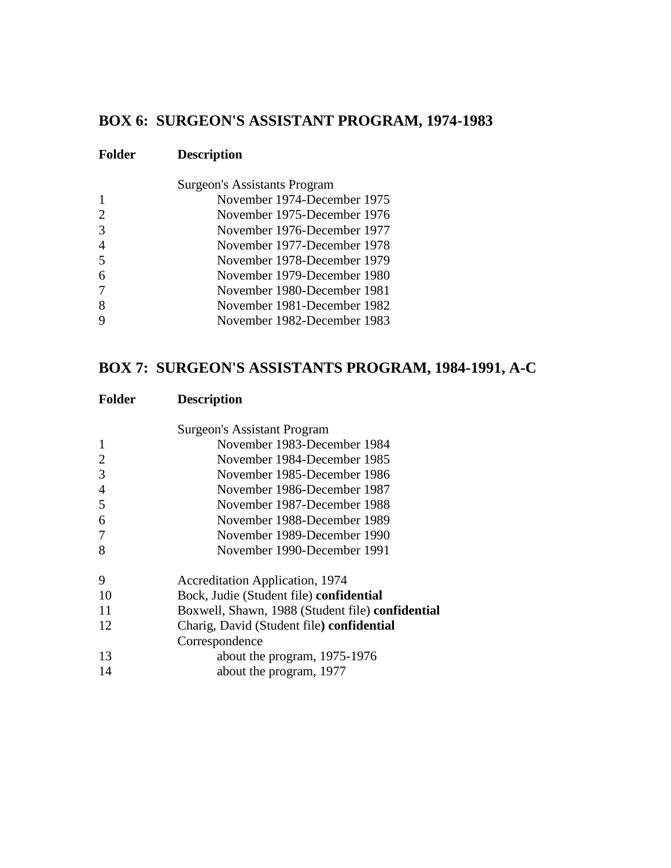## **BOX 6: SURGEON'S ASSISTANT PROGRAM, 1974-1983**

| <b>Folder</b>  | <b>Description</b>                  |
|----------------|-------------------------------------|
|                | <b>Surgeon's Assistants Program</b> |
|                | November 1974-December 1975         |
| $\overline{2}$ | November 1975-December 1976         |
| 3              | November 1976-December 1977         |
| 4              | November 1977-December 1978         |
| 5              | November 1978-December 1979         |
| 6              | November 1979-December 1980         |
| 7              | November 1980-December 1981         |
| 8              | November 1981-December 1982         |
| 9              | November 1982-December 1983         |

## **BOX 7: SURGEON'S ASSISTANTS PROGRAM, 1984-1991, A-C**

|                | Surgeon's Assistant Program                      |
|----------------|--------------------------------------------------|
| $\mathbf{1}$   | November 1983-December 1984                      |
| $\overline{2}$ | November 1984-December 1985                      |
| 3              | November 1985-December 1986                      |
| $\overline{4}$ | November 1986-December 1987                      |
| 5              | November 1987-December 1988                      |
| 6              | November 1988-December 1989                      |
| 7              | November 1989-December 1990                      |
| 8              | November 1990-December 1991                      |
| 9              | <b>Accreditation Application</b> , 1974          |
| 10             | Bock, Judie (Student file) confidential          |
| 11             | Boxwell, Shawn, 1988 (Student file) confidential |
| 12             | Charig, David (Student file) confidential        |
|                | Correspondence                                   |
| 13             | about the program, 1975-1976                     |
| 14             | about the program, 1977                          |
|                |                                                  |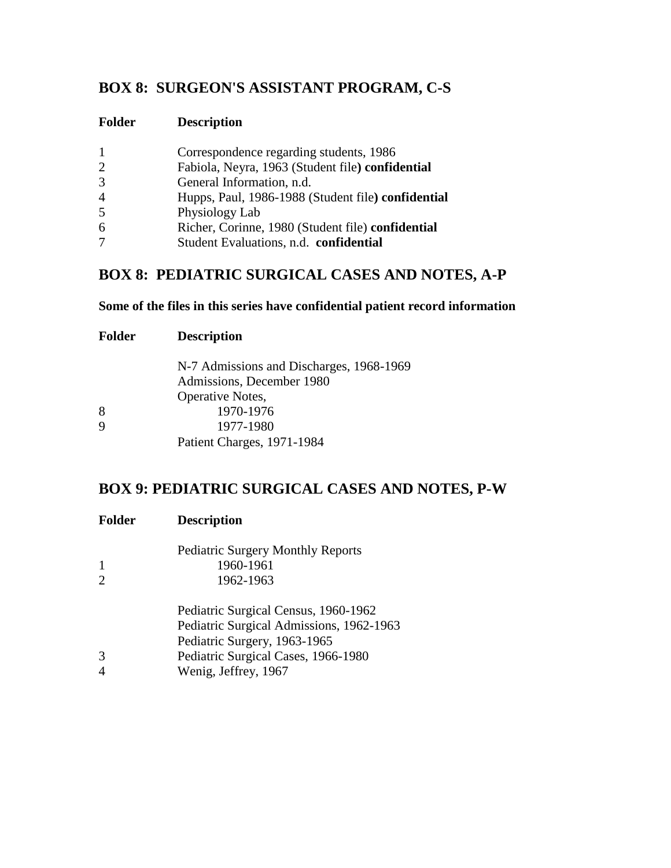# **BOX 8: SURGEON'S ASSISTANT PROGRAM, C-S**

| Folder | <b>Description</b> |
|--------|--------------------|
|--------|--------------------|

| $\mathbf{1}$   | Correspondence regarding students, 1986            |
|----------------|----------------------------------------------------|
| $\overline{2}$ | Fabiola, Neyra, 1963 (Student file) confidential   |
| 3              | General Information, n.d.                          |
| 4              | Hupps, Paul, 1986-1988 (Student file) confidential |
| 5              | Physiology Lab                                     |
| 6              | Richer, Corinne, 1980 (Student file) confidential  |
| 7              | Student Evaluations, n.d. confidential             |

## **BOX 8: PEDIATRIC SURGICAL CASES AND NOTES, A-P**

#### **Some of the files in this series have confidential patient record information**

| <b>Folder</b> | <b>Description</b>                       |  |
|---------------|------------------------------------------|--|
|               | N-7 Admissions and Discharges, 1968-1969 |  |
|               | Admissions, December 1980                |  |
|               | Operative Notes,                         |  |
| 8             | 1970-1976                                |  |
| 9             | 1977-1980                                |  |
|               | Patient Charges, 1971-1984               |  |

### **BOX 9: PEDIATRIC SURGICAL CASES AND NOTES, P-W**

| <b>Folder</b> | <b>Description</b>                       |  |
|---------------|------------------------------------------|--|
|               | <b>Pediatric Surgery Monthly Reports</b> |  |
| 1             | 1960-1961                                |  |
| 2             | 1962-1963                                |  |
|               | Pediatric Surgical Census, 1960-1962     |  |
|               | Pediatric Surgical Admissions, 1962-1963 |  |
|               | Pediatric Surgery, 1963-1965             |  |
| 3             | Pediatric Surgical Cases, 1966-1980      |  |
| 4             | Wenig, Jeffrey, 1967                     |  |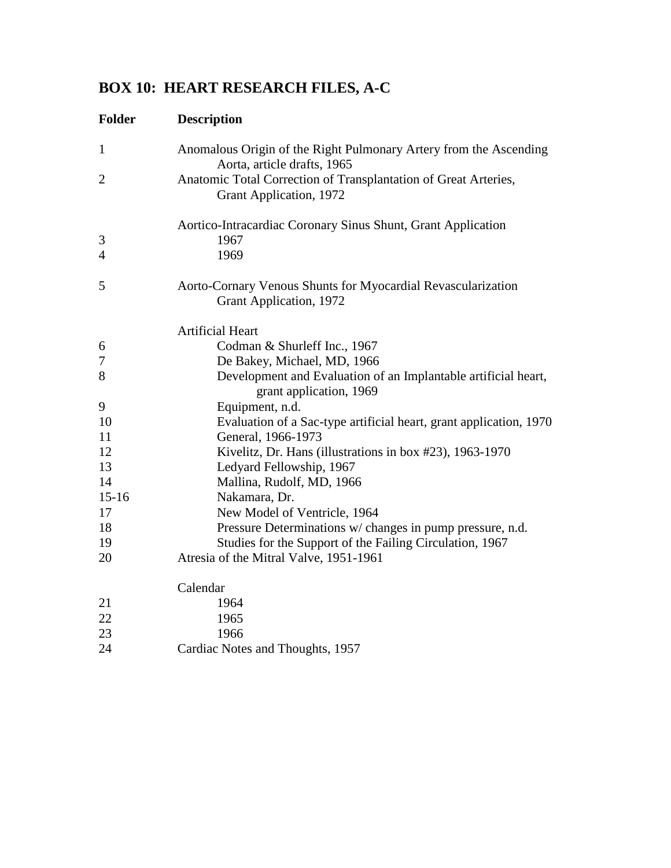# **BOX 10: HEART RESEARCH FILES, A-C**

| <b>Folder</b>       | <b>Description</b>                                                                               |
|---------------------|--------------------------------------------------------------------------------------------------|
| $\mathbf{1}$        | Anomalous Origin of the Right Pulmonary Artery from the Ascending<br>Aorta, article drafts, 1965 |
| $\overline{2}$      | Anatomic Total Correction of Transplantation of Great Arteries,<br>Grant Application, 1972       |
|                     | Aortico-Intracardiac Coronary Sinus Shunt, Grant Application                                     |
| 3<br>$\overline{4}$ | 1967<br>1969                                                                                     |
| 5                   | Aorto-Cornary Venous Shunts for Myocardial Revascularization<br>Grant Application, 1972          |
|                     | <b>Artificial Heart</b>                                                                          |
| 6                   | Codman & Shurleff Inc., 1967                                                                     |
| 7                   | De Bakey, Michael, MD, 1966                                                                      |
| 8                   | Development and Evaluation of an Implantable artificial heart,<br>grant application, 1969        |
| 9                   | Equipment, n.d.                                                                                  |
| 10                  | Evaluation of a Sac-type artificial heart, grant application, 1970                               |
| 11                  | General, 1966-1973                                                                               |
| 12                  | Kivelitz, Dr. Hans (illustrations in box #23), 1963-1970                                         |
| 13                  | Ledyard Fellowship, 1967                                                                         |
| 14                  | Mallina, Rudolf, MD, 1966                                                                        |
| $15 - 16$           | Nakamara, Dr.                                                                                    |
| 17                  | New Model of Ventricle, 1964                                                                     |
| 18                  | Pressure Determinations w/ changes in pump pressure, n.d.                                        |
| 19                  | Studies for the Support of the Failing Circulation, 1967                                         |
| 20                  | Atresia of the Mitral Valve, 1951-1961                                                           |
|                     | Calendar                                                                                         |
| 21                  | 1964                                                                                             |
| $22\,$              | 1965                                                                                             |
| 23                  | 1966                                                                                             |
| 24                  | Cardiac Notes and Thoughts, 1957                                                                 |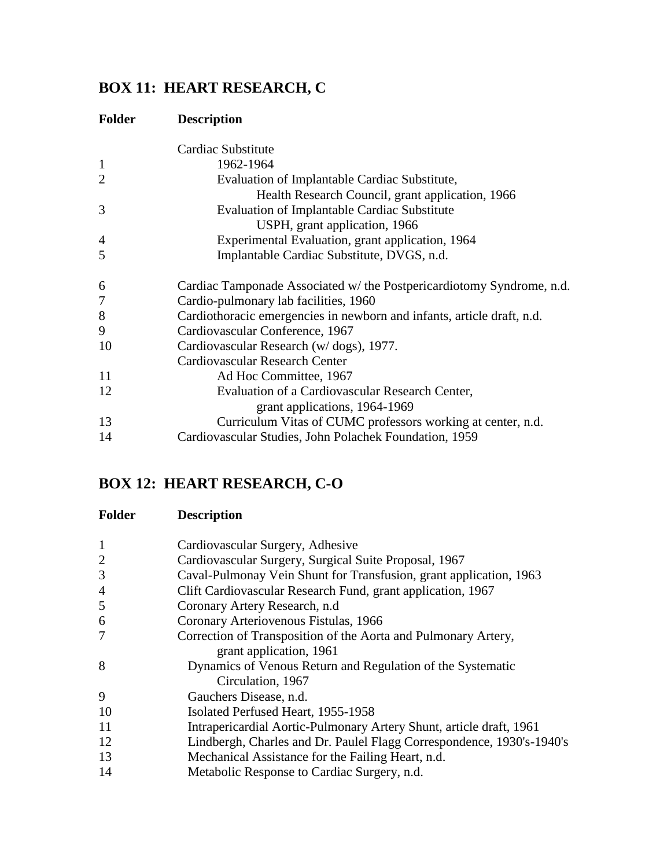# **BOX 11: HEART RESEARCH, C**

## **Folder Description**

|                | Cardiac Substitute                                                     |
|----------------|------------------------------------------------------------------------|
| $\mathbf{1}$   | 1962-1964                                                              |
| $\overline{2}$ | Evaluation of Implantable Cardiac Substitute,                          |
|                | Health Research Council, grant application, 1966                       |
| 3              | <b>Evaluation of Implantable Cardiac Substitute</b>                    |
|                | USPH, grant application, 1966                                          |
| 4              | Experimental Evaluation, grant application, 1964                       |
| 5              | Implantable Cardiac Substitute, DVGS, n.d.                             |
| 6              | Cardiac Tamponade Associated w/ the Postpericardiotomy Syndrome, n.d.  |
| 7              | Cardio-pulmonary lab facilities, 1960                                  |
| 8              | Cardiothoracic emergencies in newborn and infants, article draft, n.d. |
| 9              | Cardiovascular Conference, 1967                                        |
| 10             | Cardiovascular Research (w/dogs), 1977.                                |
|                | <b>Cardiovascular Research Center</b>                                  |
| 11             | Ad Hoc Committee, 1967                                                 |
| 12             | Evaluation of a Cardiovascular Research Center,                        |
|                | grant applications, 1964-1969                                          |
| 13             | Curriculum Vitas of CUMC professors working at center, n.d.            |
| 14             | Cardiovascular Studies, John Polachek Foundation, 1959                 |

# **BOX 12: HEART RESEARCH, C-O**

| <b>Folder</b>  | <b>Description</b>                                                    |
|----------------|-----------------------------------------------------------------------|
| $\mathbf{1}$   | Cardiovascular Surgery, Adhesive                                      |
| $\overline{2}$ | Cardiovascular Surgery, Surgical Suite Proposal, 1967                 |
| 3              | Caval-Pulmonay Vein Shunt for Transfusion, grant application, 1963    |
| $\overline{4}$ | Clift Cardiovascular Research Fund, grant application, 1967           |
| 5              | Coronary Artery Research, n.d.                                        |
| 6              | Coronary Arteriovenous Fistulas, 1966                                 |
| $\overline{7}$ | Correction of Transposition of the Aorta and Pulmonary Artery,        |
|                | grant application, 1961                                               |
| 8              | Dynamics of Venous Return and Regulation of the Systematic            |
|                | Circulation, 1967                                                     |
| 9              | Gauchers Disease, n.d.                                                |
| 10             | Isolated Perfused Heart, 1955-1958                                    |
| 11             | Intrapericardial Aortic-Pulmonary Artery Shunt, article draft, 1961   |
| 12             | Lindbergh, Charles and Dr. Paulel Flagg Correspondence, 1930's-1940's |
| 13             | Mechanical Assistance for the Failing Heart, n.d.                     |
| 14             | Metabolic Response to Cardiac Surgery, n.d.                           |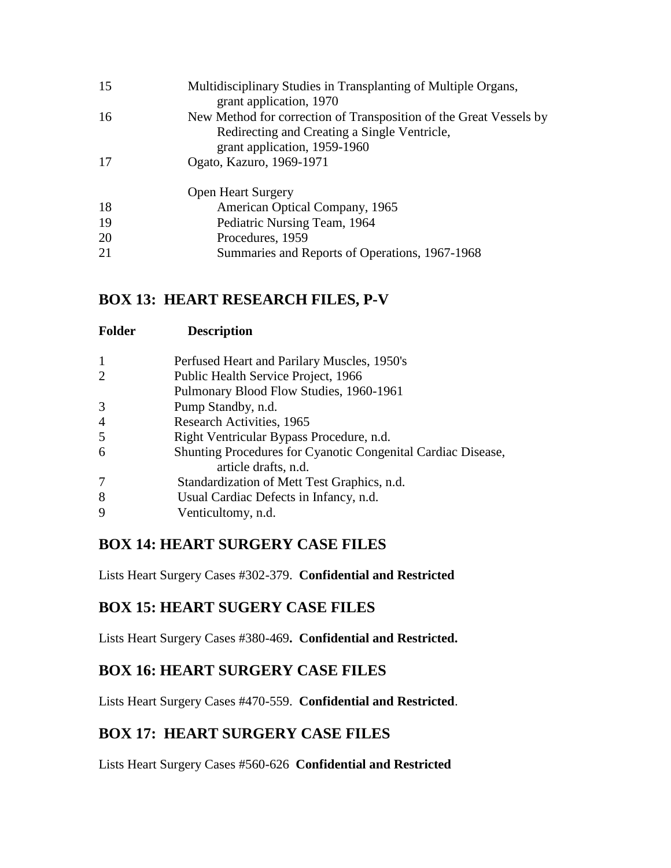| 15 | Multidisciplinary Studies in Transplanting of Multiple Organs,<br>grant application, 1970                                                          |
|----|----------------------------------------------------------------------------------------------------------------------------------------------------|
| 16 | New Method for correction of Transposition of the Great Vessels by<br>Redirecting and Creating a Single Ventricle,<br>grant application, 1959-1960 |
| 17 | Ogato, Kazuro, 1969-1971                                                                                                                           |
|    | <b>Open Heart Surgery</b>                                                                                                                          |
| 18 | American Optical Company, 1965                                                                                                                     |
| 19 | Pediatric Nursing Team, 1964                                                                                                                       |
| 20 | Procedures, 1959                                                                                                                                   |
| 21 | Summaries and Reports of Operations, 1967-1968                                                                                                     |
|    |                                                                                                                                                    |

### **BOX 13: HEART RESEARCH FILES, P-V**

| <b>Folder</b>  | <b>Description</b>                                           |
|----------------|--------------------------------------------------------------|
| 1              | Perfused Heart and Parilary Muscles, 1950's                  |
| $\overline{2}$ | Public Health Service Project, 1966                          |
|                | Pulmonary Blood Flow Studies, 1960-1961                      |
| 3              | Pump Standby, n.d.                                           |
| 4              | Research Activities, 1965                                    |
| 5              | Right Ventricular Bypass Procedure, n.d.                     |
| 6              | Shunting Procedures for Cyanotic Congenital Cardiac Disease, |
|                | article drafts, n.d.                                         |
| 7              | Standardization of Mett Test Graphics, n.d.                  |
| 8              | Usual Cardiac Defects in Infancy, n.d.                       |
| 9              | Venticultomy, n.d.                                           |

### **BOX 14: HEART SURGERY CASE FILES**

Lists Heart Surgery Cases #302-379. **Confidential and Restricted**

### **BOX 15: HEART SUGERY CASE FILES**

Lists Heart Surgery Cases #380-469**. Confidential and Restricted.**

### **BOX 16: HEART SURGERY CASE FILES**

Lists Heart Surgery Cases #470-559. **Confidential and Restricted**.

### **BOX 17: HEART SURGERY CASE FILES**

Lists Heart Surgery Cases #560-626 **Confidential and Restricted**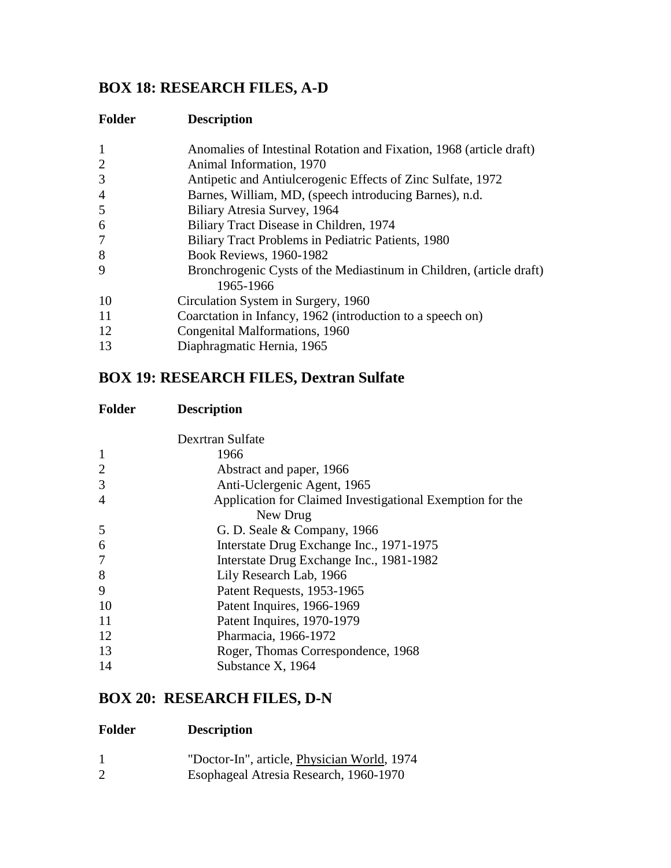## **BOX 18: RESEARCH FILES, A-D**

| <b>Folder</b>  | <b>Description</b>                                                               |
|----------------|----------------------------------------------------------------------------------|
| 1              | Anomalies of Intestinal Rotation and Fixation, 1968 (article draft)              |
| $\overline{2}$ | Animal Information, 1970                                                         |
| 3              | Antipetic and Antiulcerogenic Effects of Zinc Sulfate, 1972                      |
| $\overline{4}$ | Barnes, William, MD, (speech introducing Barnes), n.d.                           |
| 5              | Biliary Atresia Survey, 1964                                                     |
| 6              | Biliary Tract Disease in Children, 1974                                          |
| 7              | Biliary Tract Problems in Pediatric Patients, 1980                               |
| 8              | <b>Book Reviews, 1960-1982</b>                                                   |
| 9              | Bronchrogenic Cysts of the Mediastinum in Children, (article draft)<br>1965-1966 |
| 10             | Circulation System in Surgery, 1960                                              |
| 11             | Coarctation in Infancy, 1962 (introduction to a speech on)                       |
| 12             | Congenital Malformations, 1960                                                   |
| 13             | Diaphragmatic Hernia, 1965                                                       |

## **BOX 19: RESEARCH FILES, Dextran Sulfate**

| Folder | <b>Description</b> |
|--------|--------------------|
|--------|--------------------|

|                | Dexrtran Sulfate                                          |
|----------------|-----------------------------------------------------------|
| $\mathbf{1}$   | 1966                                                      |
| $\overline{2}$ | Abstract and paper, 1966                                  |
| 3              | Anti-Uclergenic Agent, 1965                               |
| $\overline{4}$ | Application for Claimed Investigational Exemption for the |
|                | New Drug                                                  |
| 5              | G. D. Seale $& Company, 1966$                             |
| 6              | Interstate Drug Exchange Inc., 1971-1975                  |
| 7              | Interstate Drug Exchange Inc., 1981-1982                  |
| 8              | Lily Research Lab, 1966                                   |
| 9              | Patent Requests, 1953-1965                                |
| 10             | Patent Inquires, 1966-1969                                |
| 11             | Patent Inquires, 1970-1979                                |
| 12             | Pharmacia, 1966-1972                                      |
| 13             | Roger, Thomas Correspondence, 1968                        |
| 14             | Substance X, 1964                                         |
|                |                                                           |

## **BOX 20: RESEARCH FILES, D-N**

| "Doctor-In", article, Physician World, 1974 |
|---------------------------------------------|
| Esophageal Atresia Research, 1960-1970      |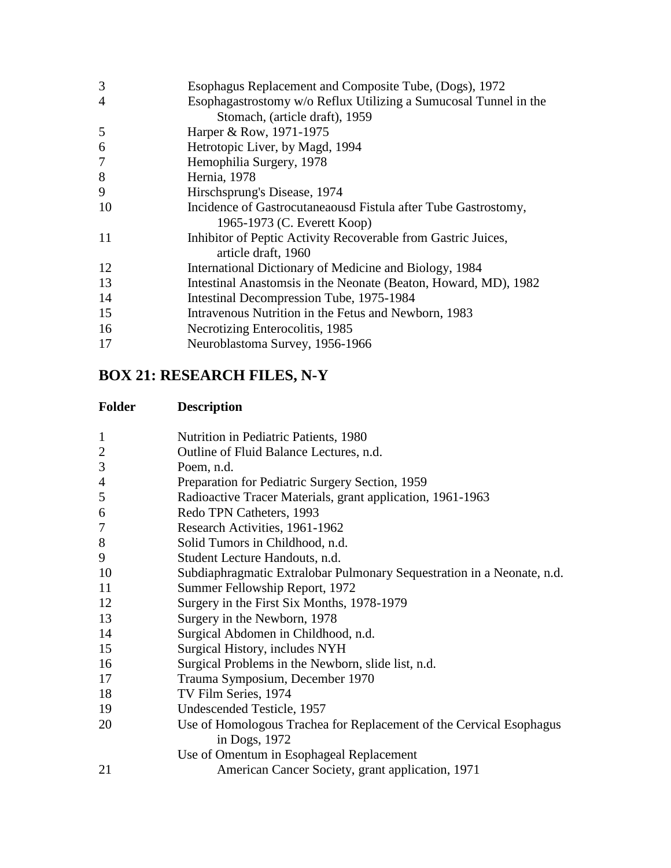| 3              | Esophagus Replacement and Composite Tube, (Dogs), 1972           |  |
|----------------|------------------------------------------------------------------|--|
| $\overline{4}$ | Esophagastrostomy w/o Reflux Utilizing a Sumucosal Tunnel in the |  |
|                | Stomach, (article draft), 1959                                   |  |
| 5              | Harper & Row, 1971-1975                                          |  |
| 6              | Hetrotopic Liver, by Magd, 1994                                  |  |
| 7              | Hemophilia Surgery, 1978                                         |  |
| 8              | Hernia, 1978                                                     |  |
| 9              | Hirschsprung's Disease, 1974                                     |  |
| 10             | Incidence of Gastrocutaneaousd Fistula after Tube Gastrostomy,   |  |
|                | 1965-1973 (C. Everett Koop)                                      |  |
| 11             | Inhibitor of Peptic Activity Recoverable from Gastric Juices,    |  |
|                | article draft, 1960                                              |  |
| 12             | International Dictionary of Medicine and Biology, 1984           |  |
| 13             | Intestinal Anastomsis in the Neonate (Beaton, Howard, MD), 1982  |  |
| 14             | Intestinal Decompression Tube, 1975-1984                         |  |
| 15             | Intravenous Nutrition in the Fetus and Newborn, 1983             |  |
| 16             | Necrotizing Enterocolitis, 1985                                  |  |
| 17             | Neuroblastoma Survey, 1956-1966                                  |  |
|                |                                                                  |  |

# **BOX 21: RESEARCH FILES, N-Y**

| $\mathbf{1}$   | Nutrition in Pediatric Patients, 1980                                                |
|----------------|--------------------------------------------------------------------------------------|
| $\overline{c}$ | Outline of Fluid Balance Lectures, n.d.                                              |
| 3              | Poem, n.d.                                                                           |
| 4              | Preparation for Pediatric Surgery Section, 1959                                      |
| 5              | Radioactive Tracer Materials, grant application, 1961-1963                           |
| 6              | Redo TPN Catheters, 1993                                                             |
| 7              | Research Activities, 1961-1962                                                       |
| 8              | Solid Tumors in Childhood, n.d.                                                      |
| 9              | Student Lecture Handouts, n.d.                                                       |
| 10             | Subdiaphragmatic Extralobar Pulmonary Sequestration in a Neonate, n.d.               |
| 11             | Summer Fellowship Report, 1972                                                       |
| 12             | Surgery in the First Six Months, 1978-1979                                           |
| 13             | Surgery in the Newborn, 1978                                                         |
| 14             | Surgical Abdomen in Childhood, n.d.                                                  |
| 15             | Surgical History, includes NYH                                                       |
| 16             | Surgical Problems in the Newborn, slide list, n.d.                                   |
| 17             | Trauma Symposium, December 1970                                                      |
| 18             | TV Film Series, 1974                                                                 |
| 19             | Undescended Testicle, 1957                                                           |
| 20             | Use of Homologous Trachea for Replacement of the Cervical Esophagus<br>in Dogs, 1972 |
|                | Use of Omentum in Esophageal Replacement                                             |
| 21             | American Cancer Society, grant application, 1971                                     |
|                |                                                                                      |